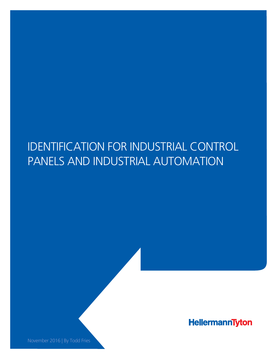# IDENTIFICATION FOR INDUSTRIAL CONTROL PANELS AND INDUSTRIAL AUTOMATION

HellermannTyton

November 2016 | By Todd Fries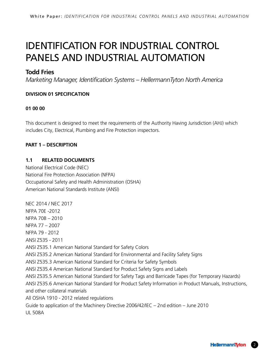# IDENTIFICATION FOR INDUSTRIAL CONTROL PANELS AND INDUSTRIAL AUTOMATION

## **Todd Fries**

*Marketing Manager, Identification Systems – HellermannTyton North America*

### **DIVISION 01 SPECIFICATION**

### **01 00 00**

This document is designed to meet the requirements of the Authority Having Jurisdiction (AHJ) which includes City, Electrical, Plumbing and Fire Protection inspectors.

### **PART 1 – DESCRIPTION**

### **1.1 RELATED DOCUMENTS**

National Electrical Code (NEC) National Fire Protection Association (NFPA) Occupational Safety and Health Administration (OSHA) American National Standards Institute (ANSI)

NEC 2014 / NEC 2017 NFPA 70E -2012 NFPA 70B – 2010 NFPA 77 – 2007 NFPA 79 - 2012 ANSI Z535 - 2011 ANSI Z535.1 American National Standard for Safety Colors ANSI Z535.2 American National Standard for Environmental and Facility Safety Signs ANSI Z535.3 American National Standard for Criteria for Safety Symbols ANSI Z535.4 American National Standard for Product Safety Signs and Labels ANSI Z535.5 American National Standard for Safety Tags and Barricade Tapes (for Temporary Hazards) ANSI Z535.6 American National Standard for Product Safety Information in Product Manuals, Instructions, and other collateral materials All OSHA 1910 - 2012 related regulations Guide to application of the Machinery Directive 2006/42/IEC – 2nd edition – June 2010 UL 508A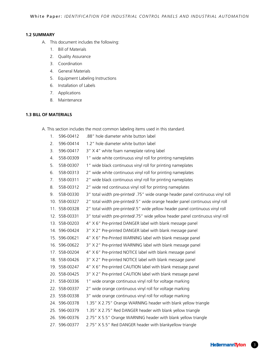#### **1.2 SUMMARY**

- A. This document includes the following:
	- 1. Bill of Materials
	- 2. Quality Assurance
	- 3. Coordination
	- 4. General Materials
	- 5. Equipment Labeling Instructions
	- 6. Installation of Labels
	- 7. Applications
	- 8. Maintenance

#### **1.3 BILL OF MATERIALS**

A. This section includes the most common labeling items used in this standard.

- 1. 596-00412 .88" hole diameter white button label
- 2. 596-00414 1.2" hole diameter white button label
- 3. 596-00417 3" X 4" white foam nameplate rating label
- 4. 558-00309 1" wide white continuous vinyl roll for printing nameplates
- 5. 558-00307 1" wide black continuous vinyl roll for printing nameplates
- 6. 558-00313 2" wide white continuous vinyl roll for printing nameplates
- 7. 558-00311 2" wide black continuous vinyl roll for printing nameplates
- 8. 558-00312 2" wide red continuous vinyl roll for printing nameplates
- 9. 558-00330 3" total width pre-printed/ .75" wide orange header panel continuous vinyl roll
- 10. 558-00327 2" total width pre-printed/.5" wide orange header panel continuous vinyl roll
- 11. 558-00328 2" total width pre-printed/.5" wide yellow header panel continuous vinyl roll
- 12. 558-00331 3" total width pre-printed/.75" wide yellow header panel continuous vinyl roll
- 13. 558-00203 4" X 6" Pre-printed DANGER label with blank message panel
- 14. 596-00424 3" X 2" Pre-printed DANGER label with blank message panel
- 15. 596-00621 4" X 6" Pre-Printed WARNING label with blank message panel
- 16. 596-00622 3" X 2" Pre-printed WARNING label with blank message panel
- 17. 558-00204 4" X 6" Pre-printed NOTICE label with blank message panel
- 18. 558-00426 3" X 2" Pre-printed NOTICE label with blank message panel
- 19. 558-00247 4" X 6" Pre-printed CAUTION label with blank message panel
- 20. 558-00425 3" X 2" Pre-printed CAUTION label with blank message panel
- 21. 558-00336 1" wide orange continuous vinyl roll for voltage marking
- 22. 558-00337 2" wide orange continuous vinyl roll for voltage marking
- 23. 558-00338 3" wide orange continuous vinyl roll for voltage marking
- 24. 596-00378 1.35" X 2.75" Orange WARNING header with blank yellow triangle
- 25. 596-00379 1.35" X 2.75" Red DANGER header with blank yellow triangle
- 26. 596-00376 2.75" X 5.5" Orange WARNING header with blank yellow triangle
- 27. 596-00377 2.75" X 5.5" Red DANGER header with blankyellow triangle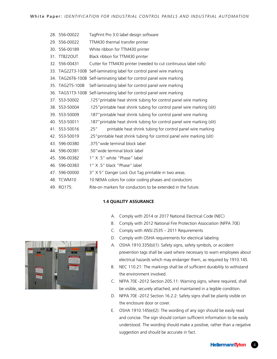- 28. 556-00022 TagPrint Pro 3.0 label design software
- 29. 556-00022 TTM430 thermal transfer printer
- 30. 556-00189 White ribbon for TTM430 printer
- 31. TT822OUT Black ribbon for TTM430 printer
- 32. 556-00431 Cutter for TTM430 printer (needed to cut continuous label rolls)
- 33. TAG22T3-100B Self-laminating label for control panel wire marking
- 34. TAG26T6-100B Self-laminating label for control panel wire marking
- 35. TAG2T5-100B Self-laminating label for control panel wire marking
- 36. TAG51T3-100B Self-laminating label for control panel wire marking
- 37. 553-50002 .125"printable heat shrink tubing for control panel wire marking
- 38. 553-50004 .125"printable heat shrink tubing for control panel wire marking (slit)
- 39. 553-50009 .187"printable heat shrink tubing for control panel wire marking
- 40. 553-50011 .187"printable heat shrink tubing for control panel wire marking (slit)
- 41. 553-50016 .25" printable heat shrink tubing for control panel wire marking
- 42. 553-50019 .25"printable heat shrink tubing for control panel wire marking (slit)
- 43. 596-00380 .375"wide terminal block label
- 44. 596-00381 .50"wide terminal block label
- 45. 596-00382 1" X .5" white "Phase" label
- 46. 596-00383 1" X .5" black "Phase" label
- 47. 596-00000 3" X 5" Danger Lock Out Tag printable in two areas.
- 48. TCWM10 10 NEMA colors for color coding phases and conductors
- 49. RO175: Rite-on markers for conductors to be extended in the future.

#### **1.4 QUALITY ASSURANCE**

- A. Comply with 2014 or 2017 National Electrical Code (NEC)
- B. Comply with 2012 National Fire Protection Association (NFPA 70E)
- C. Comply with ANSI Z535 2011 Requirements
- D. Comply with OSHA requirements for electrical labeling
- A. OSHA 1910.335(b)(1): Safety signs, safety symbols, or accident prevention tags shall be used where necessary to warn employees about electrical hazards which may endanger them, as required by 1910.145.
- B. NEC 110.21: The markings shall be of sufficient durability to withstand the environment involved.
- C. NFPA 70E -2012 Section 205.11: Warning signs, where required, shall be visible, securely attached, and maintained in a legible condition.
- D. NFPA 70E -2012 Section 16.2.2: Safety signs shall be plainly visible on the enclosure door or cover.
- E. OSHA 1910.145(e)(2): The wording of any sign should be easily read and concise. The sign should contain sufficient information to be easily understood. The wording should make a positive, rather than a negative suggestion and should be accurate in fact.

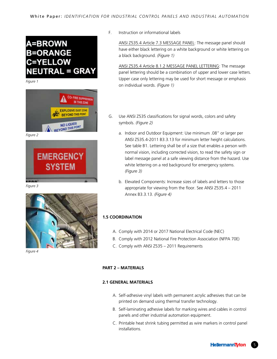# **A=BROWN B=ORANGE C=YELLOW NEUTRAL = GRAY**

*Figure 1*



*Figure 2*



*Figure 3*



*Figure 4*

F. Instruction or informational labels

ANSI Z535.4 Article 7.3 MESSAGE PANEL: The message panel should have either black lettering on a white background or white lettering on a black background. *(Figure 1)*

ANSI Z535.4 Article 8.1.2 MESSAGE PANEL LETTERING: The message panel lettering should be a combination of upper and lower case letters. Upper case only lettering may be used for short message or emphasis on individual words. *(Figure 1)*

- G. Use ANSI Z535 classifications for signal words, colors and safety symbols. *(Figure 2)*
	- a. Indoor and Outdoor Equipment: Use minimum .08" or larger per ANSI Z535.4-2011 B3.3.13 for minimum letter height calculations. See table B1. Lettering shall be of a size that enables a person with normal vision, including corrected vision, to read the safety sign or label message panel at a safe viewing distance from the hazard. Use white lettering on a red background for emergency systems. *(Figure 3)*
	- b. Elevated Components: Increase sizes of labels and letters to those appropriate for viewing from the floor. See ANSI Z535.4 – 2011 Annex B3.3.13. *(Figure 4)*

### **1.5 COORDINATION**

- A. Comply with 2014 or 2017 National Electrical Code (NEC)
- B. Comply with 2012 National Fire Protection Association (NFPA 70E)
- C. Comply with ANSI Z535 2011 Requirements

#### **PART 2 – MATERIALS**

#### **2.1 GENERAL MATERIALS**

- A. Self-adhesive vinyl labels with permanent acrylic adhesives that can be printed on demand using thermal transfer technology.
- B. Self-laminating adhesive labels for marking wires and cables in control panels and other industrial automation equipment.
- C. Printable heat shrink tubing permitted as wire markers in control panel installations.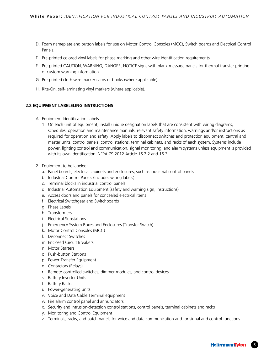- D. Foam nameplate and button labels for use on Motor Control Consoles (MCC), Switch boards and Electrical Control Panels.
- E. Pre-printed colored vinyl labels for phase marking and other wire identification requirements.
- F. Pre-printed CAUTION, WARNING, DANGER, NOTICE signs with blank message panels for thermal transfer printing of custom warning information.
- G. Pre-printed cloth wire marker cards or books (where applicable).
- H. Rite-On, self-laminating vinyl markers (where applicable).

#### **2.2 EQUIPMENT LABELELING INSTRUCTIONS**

- A. Equipment Identification Labels
	- 1. On each unit of equipment, install unique designation labels that are consistent with wiring diagrams, schedules, operation and maintenance manuals, relevant safety information, warnings and/or instructions as required for operation and safety. Apply labels to disconnect switches and protection equipment, central and master units, control panels, control stations, terminal cabinets, and racks of each system. Systems include power, lighting control and communication, signal monitoring, and alarm systems unless equipment is provided with its own identification. NFPA 79 2012 Article 16.2.2 and 16.3
- 2. Equipment to be labeled:
	- a. Panel boards, electrical cabinets and enclosures, such as industrial control panels
	- b. Industrial Control Panels (Includes wiring labels)
	- c. Terminal blocks in industrial control panels
	- d. Industrial Automation Equipment (safety and warning sign, instructions)
	- e. Access doors and panels for concealed electrical items
	- f. Electrical Switchgear and Switchboards
	- g. Phase Labels
	- h. Transformers
	- i. Electrical Substations
	- j. Emergency System Boxes and Enclosures (Transfer Switch)
	- k. Motor Control Consoles (MCC)
	- l. Disconnect Switches
	- m. Enclosed Circuit Breakers
	- n. Motor Starters
	- o. Push-button Stations
	- p. Power Transfer Equipment
	- q. Contactors (Relays)
	- r. Remote-controlled switches, dimmer modules, and control devices.
	- s. Battery Inverter Units
	- t. Battery Racks
	- u. Power-generating units
	- v. Voice and Data Cable Terminal equipment
	- w. Fire alarm control panel and annunciators
	- x. Security and intrusion-detection control stations, control panels, terminal cabinets and racks
	- y. Monitoring and Control Equipment
	- z. Terminals, racks, and patch panels for voice and data communication and for signal and control functions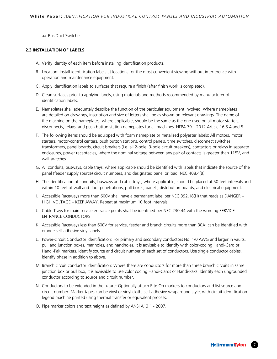aa. Bus Duct Switches

#### **2.3 INSTALLATION OF LABELS**

- A. Verify identity of each item before installing identification products.
- B. Location: Install identification labels at locations for the most convenient viewing without interference with operation and maintenance equipment.
- C. Apply identification labels to surfaces that require a finish (after finish work is completed).
- D. Clean surfaces prior to applying labels, using materials and methods recommended by manufacturer of identification labels.
- E. Nameplates shall adequately describe the function of the particular equipment involved. Where nameplates are detailed on drawings, inscription and size of letters shall be as shown on relevant drawings. The name of the machine on the nameplates, where applicable, should be the same as the one used on all motor starters, disconnects, relays, and push button station nameplates for all machines. NFPA 79 – 2012 Article 16.5.4 and 5.
- F. The following items should be equipped with foam nameplate or metalized polyester labels: All motors, motor starters, motor-control centers, push button stations, control panels, time switches, disconnect switches, transformers, panel boards, circuit breakers (i.e. all 2-pole, 3-pole circuit breakers), contactors or relays in separate enclosures, power receptacles, where the nominal voltage between any pair of contacts is greater than 115V, and wall switches.
- G. All conduits, busways, cable trays, where applicable should be identified with labels that indicate the source of the panel (feeder supply source) circuit numbers, and designated panel or load. NEC 408.4(B).
- H. The identification of conduits, busways and cable trays, where applicable, should be placed at 50 feet intervals and within 10 feet of wall and floor penetrations, pull boxes, panels, distribution boards, and electrical equipment.
- I. Accessible Raceways more than 600V shall have a permanent label per NEC 392.18(H) that reads as DANGER HIGH VOLTAGE – KEEP AWAY. Repeat at maximum 10 foot intervals.
- J. Cable Trays for main service entrance points shall be identified per NEC 230.44 with the wording SERVICE ENTRANCE CONDUCTORS.
- K. Accessible Raceways less than 600V for service, feeder and branch circuits more than 30A: can be identified with orange self-adhesive vinyl labels.
- L. Power-circuit Conductor Identification: For primary and secondary conductors No. 1/0 AWG and larger in vaults, pull and junction boxes, manholes, and handholes, it is advisable to identify with color-coding Handi-Card or Handi-Pak markers. Identify source and circuit number of each set of conductors. Use single conductor cables, identify phase in addition to above.
- M. Branch circuit conductor identification: Where there are conductors for more than three branch circuits in same junction box or pull box, it is advisable to use color coding Handi-Cards or Handi-Paks. Identify each ungrounded conductor according to source and circuit number.
- N. Conductors to be extended in the future: Optionally attach Rite-On markers to conductors and list source and circuit number. Marker tapes can be vinyl or vinyl cloth, self-adhesive wraparound style, with circuit identification legend machine printed using thermal transfer or equivalent process.
- O. Pipe marker colors and text height as defined by ANSI A13.1 2007.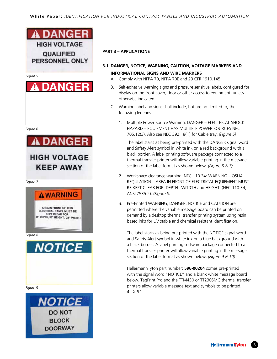



# **HIGH VOLTAGE KEEP AWAY**









#### **PART 3 – APPLICATIONS**

- **3.1 DANGER, NOTICE, WARNING, CAUTION, VOLTAGE MARKERS AND INFORMATIONAL SIGNS AND WIRE MARKERS**
	- A. Comply with NFPA 70, NFPA 70E and 29 CFR 1910.145
	- B. Self-adhesive warning signs and pressure sensitive labels, configured for display on the front cover, door or other access to equipment, unless otherwise indicated.
	- C. Warning label and signs shall include, but are not limited to, the following legends
		- 1. Multiple Power Source Warning: DANGER ELECTRICAL SHOCK HAZARD – EQUIPMENT HAS MULTIPLE POWER SOURCES NEC 705.12(3). Also see NEC 392.18(H) for Cable tray. *(Figure 5)*

The label starts as being pre-printed with the DANGER signal word and Safety Alert symbol in white ink on a red background with a black border. A label printing software package connected to a thermal transfer printer will allow variable printing in the message section of the label format as shown below. *(Figure 6 & 7)*

- 2. Workspace clearance warning: NEC 110.34: WARNING OSHA REQULATION – AREA IN FRONT OF ELECTRICAL EQUIPMENT MUST BE KEPT CLEAR FOR: DEPTH –WITDTH and HEIGHT. (NEC 110.34, ANSI Z535.2). *(Figure 8)*
- 3. Pre-Printed WARNING, DANGER, NOTICE and CAUTION are permitted where the variable message board can be printed on demand by a desktop thermal transfer printing system using resin based inks for UV stable and chemical resistant identification.

The label starts as being pre-printed with the NOTICE signal word and Safety Alert symbol in white ink on a blue background with a black border. A label printing software package connected to a thermal transfer printer will allow variable printing in the message section of the label format as shown below. *(Figure 9 & 10)*

HellermannTyton part number: **596-00204** comes pre-printed with the signal word "NOTICE" and a blank white message board below. TagPrint Pro and the TTM430 or TT230SMC thermal transfer printers allow variable message text and symbols to be printed. 4" X 6"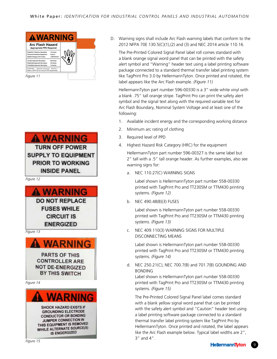

**A WARNING TURN OFF POWER SUPPLY TO EQUIPMENT PRIOR TO WORKING INSIDE PANEL** *Figure 12*



**PARTS OF THIS CONTROLLER ARE NOT DE-ENERGIZED** BY THIS SWITCH

*Figure 14*



D. Warning signs shall include Arc Flash warning labels that conform to the 2012 NFPA 70E 130.5(C)(1),(2) and (3) and NEC 2014 article 110.16.

The Pre-Printed Colored Signal Panel label roll comes standard with a blank orange signal word panel that can be printed with the safety alert symbol and "Warning" header text using a label printing software package connected to a standard thermal transfer label printing system like TagPrint Pro 3.0 by HellermannTyton. Once printed and rotated, the label appears like the Arc Flash example. *(Figure 11)*

HellermannTyton part number 596-00330 is a 3" wide white vinyl with a blank .75" tall orange stripe. TagPrint Pro can print the safety alert symbol and the signal text along with the required variable text for Arc Flash Boundary, Nominal System Voltage and at least one of the following:

- 1. Available incident energy and the corresponding working distance
- 2. Minimum arc rating of clothing
- 3. Required level of PPD
- 4. Highest Hazard Risk Category (HRC) for the equipment

HellermannTyton part number 596-00327 is the same label but 2" tall with a .5" tall orange header. As further examples, also see warning signs for:

a. NEC 110.27(C) WARNING SIGNS

 Label shown is HellermannTyton part number 558-00330 printed with TagPrint Pro and TT230SM or TTM430 printing systems. *(Figure 12)*

b. NEC 490.48(B)(3) FUSES

 Label shown is HellermannTyton part number 558-00330 printed with TagPrint Pro and TT230SM or TTM430 printing systems. *(Figure 13)*

c. NEC 409.110(3) WARNING SIGNS FOR MULTIPLE DISCONNECTING MEANS

 Label shown is HellermannTyton part number 558-00330 printed with TagPrint Pro and TT230SM or TTM430 printing systems. *(Figure 14)*

d. NEC 250.21(C), NEC 700.7(B) and 701.7(B) GOUNDING AND **BONDING** 

Label shown is HellermannTyton part number 558-00330 printed with TagPrint Pro and TT230SM or TTM430 printing systems. *(Figure 15)*

The Pre-Printed Colored Signal Panel label comes standard with a blank yellow signal word panel that can be printed with the safety alert symbol and "Caution" header text using a label printing software package connected to a standard thermal transfer label printing system like TagPrint Pro by HellermannTyton. Once printed and rotated, the label appears like the Arc Flash example below. Typical label widths are 2", 3" and 4".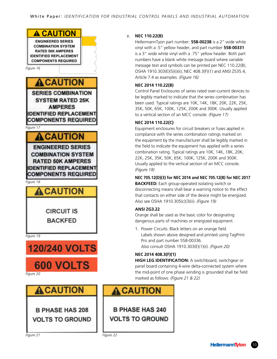

#### e. **NEC 110.22(B)**

HellermannTyon part number: **558-00238** is a 2" wide white vinyl with a .5" yellow header, and part number **558-00331** is a 3" wide white vinyl with a .75" yellow header. Both part numbers have a blank white message board where variable message text and symbols can be printed per NEC 110.22(B), OSHA 1910.303(E)(5)(i)(ii), NEC 408.3(F)(1) and ANSI Z535.4, Article 7.4 as examples. *(Figure 16)*

#### **NEC 2014 110.22(B)**

Control Panel Enclosures of series rated over-current devices to be legibly marked to indicate that the series combination has been used. Typical ratings are 10K, 14K, 18K, 20K, 22K, 25K, 35K, 50K, 65K, 100K, 125K, 200K and 300K. Usually applied to a vertical section of an MCC console. *(Figure 17)*

#### **NEC 2014 110.22(C)**

Equipment enclosures for circuit breakers or fuses applied in compliance with the series combination ratings marked on the equipment by the manufacturer shall be legibly marked in the field to indicate the equipment has applied with a series combination rating. Typical ratings are 10K, 14K, 18K, 20K, 22K, 25K, 35K, 50K, 65K, 100K, 125K, 200K and 300K. Usually applied to the vertical section of an MCC console. *(Figure 18)*

### **NEC 705.12(D)(3) for NEC 2014 and NEC 705.12(B) for NEC 2017**

**BACKFEED:** Each group-operated isolating switch or disconnecting means shall bear a warning notice to the effect that contacts on either side of the device might be energized. Also see OSHA 1910.305(c)(3)(ii). *(Figure 19)*

#### **ANSI ZG3.22**

Orange shall be used as the basic color for designating dangerous parts of machines or energized equipment.

1. Power Circuits: Black letters on an orange field. Labels shown above designed and printed using TagPrint Pro and part number 558-00336. Also consult OSHA 1910.303(E)(1)(ii). *(Figure 20)*

#### **NEC 2014 408.3(F)(1)**

**HIGH LEG IDENTIFICATION:** A switchboard, switchgear or panel board containing 4-wire delta-connected system where the mid-point of one phase winding is grounded shall be field marked as follows: *(Figure 21 & 22)*

## **A CAUTION**

# **B PHASE HAS 240 VOLTS TO GROUND**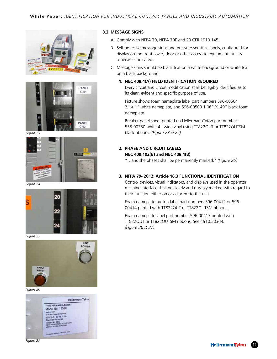





*Figure 24*



*Figure 25*



*Figure 26*



*Figure 27*

#### **3.3 MESSAGE SIGNS**

- A. Comply with NFPA 70, NFPA 70E and 29 CFR 1910.145.
- B. Self-adhesive message signs and pressure-sensitive labels, configured for display on the front cover, door or other access to equipment, unless otherwise indicated.
- C. Message signs should be black text on a white background or white text on a black background.

#### **1. NEC 408.4(A) FIELD IDENTIFICATION REQUIRED**

Every circuit and circuit modification shall be legibly identified as to its clear, evident and specific purpose of use.

Picture shows foam nameplate label part numbers 596-00504 2" X 1" white nameplate, and 596-00503 1.06" X .49" black foam nameplate.

Breaker panel sheet printed on HellermannTyton part number 558-00350 white 4" wide vinyl using TT822OUT or TT822OUTSM black ribbons. *(Figure 23 & 24)*

**2. PHASE AND CIRCUIT LABELS NEC 409.102(B) and NEC 408.4(B)** 

"…and the phases shall be permanently marked." *(Figure 25)*

#### **3. NFPA 79- 2012: Article 16.3 FUNCTIONAL IDENTIFICATION**

Control devices, visual indicators, and displays used in the operator machine interface shall be clearly and durably marked with regard to their function either on or adjacent to the unit.

Foam nameplate button label part numbers 596-00412 or 596- 00414 printed with TT822OUT or TT822OUTSM ribbons.

Foam nameplate label part number 596-00417 printed with TT822OUT or TT822OUTSM ribbons. See 1910.303(e). *(Figure 26 & 27)*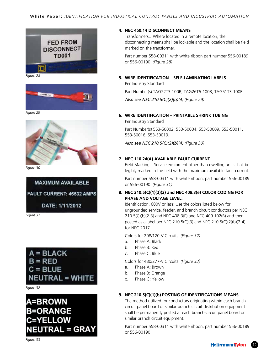

*Figure 28*



*Figure 29*



*Figure 30*





*Figure 32*



#### **4. NEC 450.14 DISCONNECT MEANS**

Transformers…Where located in a remote location, the disconnecting means shall be lockable and the location shall be field marked on the transformer.

Part number 558-00311 with white ribbon part number 556-00189 or 556-00190. *(Figure 28)*

#### **5. WIRE IDENTIFICATION – SELF-LAMINATING LABELS**

Per Industry Standard

Part Number(s) TAG22T3-100B, TAG26T6-100B, TAG51T3-100B.

*Also see NEC 210.5(C)(2)(b)(4) (Figure 29)*

# **6. WIRE IDENTIFICATION – PRINTABLE SHRINK TUBING**

Per Industry Standard

Part Number(s) 553-50002, 553-50004, 553-50009, 553-50011, 553-50016, 553-50019.

*Also see NEC 210.5(C)(2)(b)(4) (Figure 30)*

#### **7. NEC 110.24(A) AVAILABLE FAULT CURRENT**

Field Marking – Service equipment other than dwelling units shall be legibly marked in the field with the maximum available fault current.

Part number 558-00311 with white ribbon, part number 556-00189 or 556-00190. *(Figure 31)*

#### **8. NEC 210.5(C)(1)(2)(3) and NEC 408.3(e) COLOR CODING FOR PHASE AND VOLTAGE LEVEL:**

Identification, 600V or less: Use the colors listed below for ungrounded service, feeder, and branch circuit conductors per NEC 210.5(C)(b)(2-3) and NEC 408.3(E) and NEC 409.102(B) and then posted as a label per NEC 210.5(C)(3) and NEC 210.5(C)(2)(b)(2-4) for NEC 2017.

Colors for 208/120-V Circuits: *(Figure 32)*

- a. Phase A: Black
- b. Phase B: Red
- c. Phase C: Blue

Colors for 480/277-V Circuits: *(Figure 33)*

- a. Phase A: Brown
- b. Phase B: Orange
- c. Phase C: Yellow

#### **9. NEC 210.5(C)(1)(b) POSTING OF IDENTIFICATIONS MEANS**

The method utilized for conductors originating within each branch circuit panel board or similar branch circuit distribution equipment shall be permanently posted at each branch-circuit panel board or similar branch circuit equipment.

Part number 558-00311 with white ribbon, part number 556-00189 or 556-00190.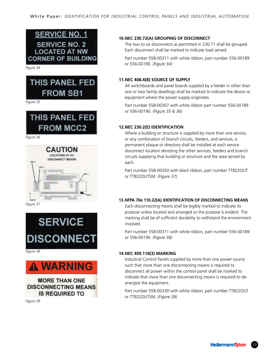



*Figure 35*



*Figure 36*



*Figure 37*



*Figure 38*



**MORE THAN ONE DISCONNECTING MEANS IS REQUIRED TO** 

*Figure 39*

#### **10.NEC 230.72(A) GROUPING OF DISCONNECT**

The two to six disconnects as permitted in 230.71 shall be grouped. Each disconnect shall be marked to indicate load served.

Part number 558-00311 with white ribbon, part number 556-00189 or 556-00190. *(Figure 34)*

#### **11.NEC 408.4(B) SOURCE OF SUPPLY**

All switchboards and panel boards supplied by a feeder in other than one or two family dwellings shall be marked to indicate the device or equipment where the power supply originates.

Part number 558-00307 with white ribbon part number 556-00189 or 556-00190. *(Figure 35 & 36)*

#### **12.NEC 230.2(E) IDENTIFICATION**

.

Where a building or structure is supplied by more than one service, or any combination of branch circuits, feeders, and services, a permanent plaque or directory shall be installed at each service disconnect location denoting the other services, feeders and branch circuits supplying that building or structure and the area served by each.

Part number 558-00350 with black ribbon, part number TT822OUT or TT822OUTSM. *(Figure 37)*

#### **13.NFPA 70e 110.22(A) IDENTIFICATION OF DISCONNECTING MEANS**

Each disconnecting means shall be legibly marked to indicate its purpose unless located and arranged so the purpose is evident. The marking shall be of sufficient durability to withstand the environment involved.

Part number 558-00311 with white ribbon, part number 556-00189 or 556-00190. *(Figure 38)*

#### **14.NEC 409.110(3) MARKING**

Industrial Control Panels supplied by more than one power source such that more than one disconnecting means is required to disconnect all power within the control panel shall be marked to indicate that more than one disconnecting means is required to deenergize the equipment.

Part number 558-00330 with white ribbon, part number TT822OUT or TT822OUTSM. *(Figure 39)*

> **HellermannT** 13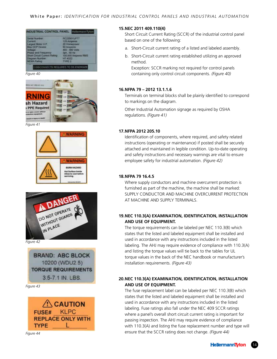



*Figure 41*



![](_page_13_Figure_6.jpeg)

![](_page_13_Picture_7.jpeg)

**BRAND: ABC BLOCK** 10200 (WDU2.5) **TORQUE REQUIREMENTS** 3.5-7.1 IN. LBS.

*Figure 43*

![](_page_13_Picture_10.jpeg)

*Figure 44*

#### **15.NEC 2011 409.110(4)**

Short Circuit Current Rating (SCCR) of the industrial control panel based on one of the following:

- a. Short-Circuit current rating of a listed and labeled assembly.
- b. Short-Circuit current rating established utilizing an approved method.

Exception: SCCR marking not required for control panels containing only control circuit components. *(Figure 40)*

#### **16.NFPA 79 – 2012 13.1.1.6**

Terminals on terminal blocks shall be plainly identified to correspond to markings on the diagram.

Other Industrial Automation signage as required by OSHA regulations. *(Figure 41)*

#### **17.NFPA 2012 205.10**

Identification of components, where required, and safety related instructions (operating or maintenance) if posted shall be securely attached and maintained in legible condition. Up-to-date operating and safety instructions and necessary warnings are vital to ensure employee safety for industrial automation. *(Figure 42)*

#### **18.NFPA 79 16.4.5**

Where supply conductors and machine overcurrent protection is furnished as part of the machine, the machine shall be marked: SUPPLY CONDUCTOR AND MACHINE OVERCURRENT PROTECTION AT MACHINE AND SUPPLY TERMINALS.

#### **19.NEC 110.3(A) EXAMINATION, IDENTIFICATION, INSTALLATION AND USE OF EQUIPMENT.**

The torque requirements can be labeled per NEC 110.3(B) which states that the listed and labeled equipment shall be installed and used in accordance with any instructions included in the listed labeling. The AHJ may require evidence of compliance with 110.3(A) and listing the torque values will tie back to the tables for UL torque values in the back of the NEC handbook or manufacturer's installation requirements. *(Figure 43)*

#### **20.NEC 110.3(A) EXAMINATION, IDENTIFICATION, INSTALLATION AND USE OF EQUIPMENT.**

The fuse replacement label can be labeled per NEC 110.3(B) which states that the listed and labeled equipment shall be installed and used in accordance with any instructions included in the listed labeling. Fuse ratings also fall under the NEC 409 SCCR ratings where a panel's overall short circuit current rating is important for passing inspection. The AHJ may require evidence of compliance with 110.3(A) and listing the fuse replacement number and type will ensure that the SCCR rating does not change. *(Figure 44)*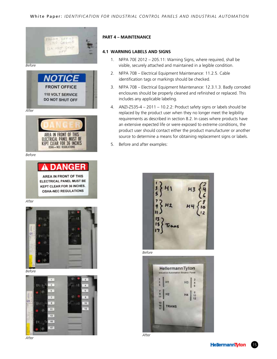![](_page_14_Picture_1.jpeg)

*Before*

![](_page_14_Picture_3.jpeg)

![](_page_14_Picture_4.jpeg)

*Before*

# Δ

AREA IN FRONT OF THIS ELECTRICAL PANEL MUST BE **KEPT CLEAR FOR 36 INCHES. OSHA-NEC REGULATIONS** 

*After*

![](_page_14_Picture_9.jpeg)

*Before*

![](_page_14_Picture_11.jpeg)

#### **PART 4 – MAINTENANCE**

#### **4.1 WARNING LABELS AND SIGNS**

- 1. NFPA 70E 2012 205.11: Warning Signs, where required, shall be visible, securely attached and maintained in a legible condition.
- 2. NFPA 70B Electrical Equipment Maintenance: 11.2.5. Cable identification tags or markings should be checked.
- 3. NFPA 70B Electrical Equipment Maintenance: 12.3.1.3. Badly corroded enclosures should be properly cleaned and refinished or replaced. This includes any applicable labeling.
- 4. ANZI-Z535-4 2011 10.2.2: Product safety signs or labels should be replaced by the product user when they no longer meet the legibility requirements as described in section 8.2. In cases where products have an extensive expected life or were exposed to extreme conditions, the product user should contact either the product manufacturer or another source to determine a means for obtaining replacement signs or labels.
- 5. Before and after examples:

![](_page_14_Picture_20.jpeg)

*Before*

![](_page_14_Picture_22.jpeg)

*After*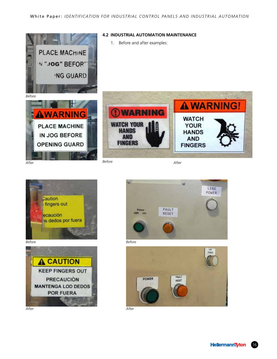![](_page_15_Picture_1.jpeg)

**4.2 INDUSTRIAL AUTOMATION MAINTENANCE**

1. Before and after examples:

![](_page_15_Picture_4.jpeg)

*Before*

*After*

![](_page_15_Picture_7.jpeg)

![](_page_15_Picture_8.jpeg)

![](_page_15_Picture_9.jpeg)

*After*

![](_page_15_Picture_10.jpeg)

![](_page_15_Picture_11.jpeg)